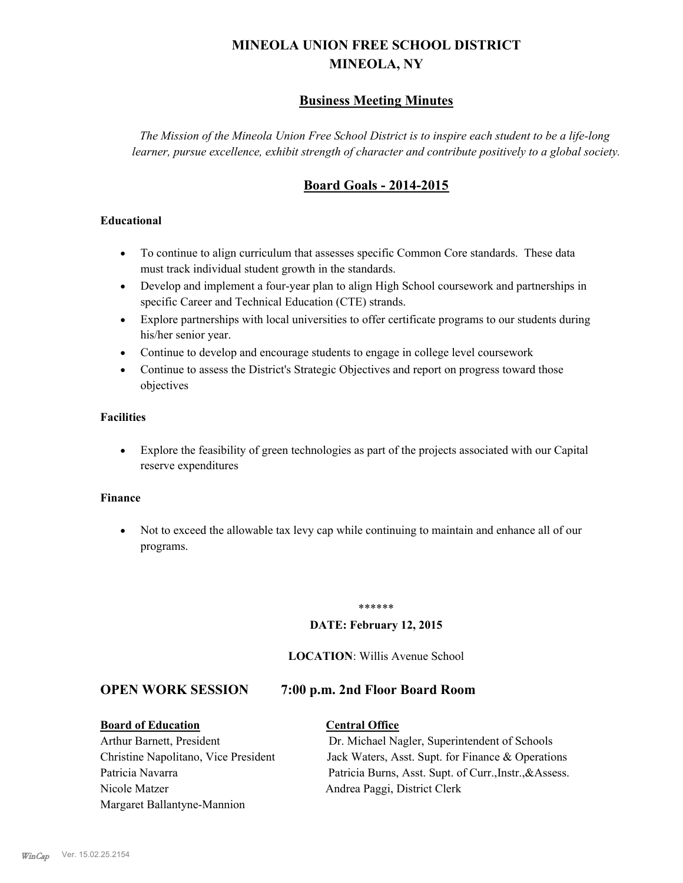# **MINEOLA UNION FREE SCHOOL DISTRICT MINEOLA, NY**

# **Business Meeting Minutes**

*The Mission of the Mineola Union Free School District is to inspire each student to be a life-long learner, pursue excellence, exhibit strength of character and contribute positively to a global society.*

# **Board Goals - 2014-2015**

#### **Educational**

- · To continue to align curriculum that assesses specific Common Core standards. These data must track individual student growth in the standards.
- · Develop and implement a four-year plan to align High School coursework and partnerships in specific Career and Technical Education (CTE) strands.
- · Explore partnerships with local universities to offer certificate programs to our students during his/her senior year.
- · Continue to develop and encourage students to engage in college level coursework
- Continue to assess the District's Strategic Objectives and report on progress toward those objectives

#### **Facilities**

· Explore the feasibility of green technologies as part of the projects associated with our Capital reserve expenditures

#### **Finance**

· Not to exceed the allowable tax levy cap while continuing to maintain and enhance all of our programs.

#### \*\*\*\*\*\*

#### **DATE: February 12, 2015**

#### **LOCATION**: Willis Avenue School

### **OPEN WORK SESSION 7:00 p.m. 2nd Floor Board Room**

#### **Board of Education Central Office**

# Nicole Matzer Andrea Paggi, District Clerk Margaret Ballantyne-Mannion

Arthur Barnett, President Dr. Michael Nagler, Superintendent of Schools Christine Napolitano, Vice President Jack Waters, Asst. Supt. for Finance & Operations Patricia Navarra Patricia Burns, Asst. Supt. of Curr., Instr., &Assess.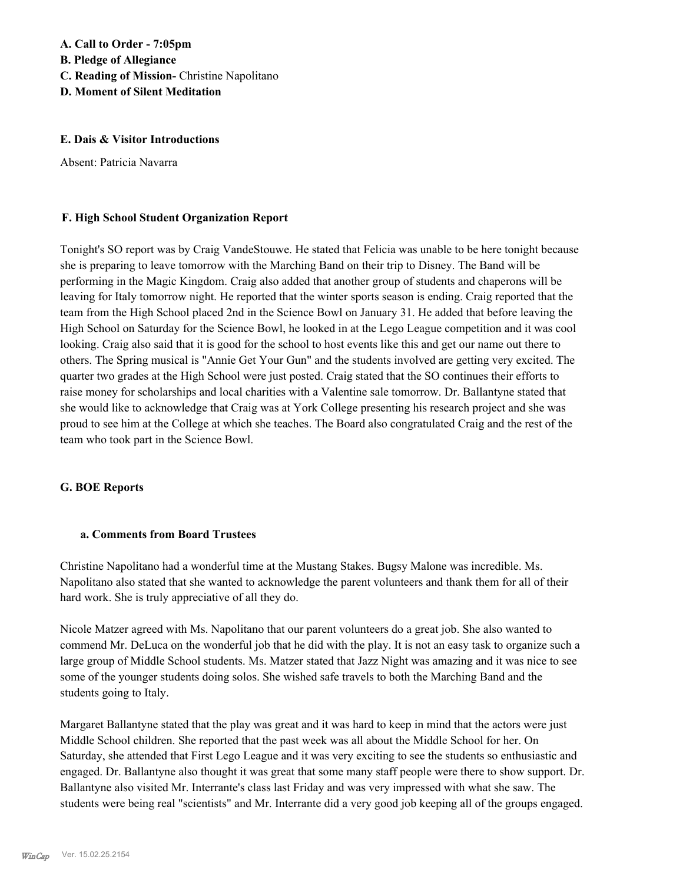# **A. Call to Order - 7:05pm B. Pledge of Allegiance C. Reading of Mission-** Christine Napolitano **D. Moment of Silent Meditation**

#### **E. Dais & Visitor Introductions**

Absent: Patricia Navarra

#### **F. High School Student Organization Report**

Tonight's SO report was by Craig VandeStouwe. He stated that Felicia was unable to be here tonight because she is preparing to leave tomorrow with the Marching Band on their trip to Disney. The Band will be performing in the Magic Kingdom. Craig also added that another group of students and chaperons will be leaving for Italy tomorrow night. He reported that the winter sports season is ending. Craig reported that the team from the High School placed 2nd in the Science Bowl on January 31. He added that before leaving the High School on Saturday for the Science Bowl, he looked in at the Lego League competition and it was cool looking. Craig also said that it is good for the school to host events like this and get our name out there to others. The Spring musical is "Annie Get Your Gun" and the students involved are getting very excited. The quarter two grades at the High School were just posted. Craig stated that the SO continues their efforts to raise money for scholarships and local charities with a Valentine sale tomorrow. Dr. Ballantyne stated that she would like to acknowledge that Craig was at York College presenting his research project and she was proud to see him at the College at which she teaches. The Board also congratulated Craig and the rest of the team who took part in the Science Bowl.

#### **G. BOE Reports**

#### **a. Comments from Board Trustees**

Christine Napolitano had a wonderful time at the Mustang Stakes. Bugsy Malone was incredible. Ms. Napolitano also stated that she wanted to acknowledge the parent volunteers and thank them for all of their hard work. She is truly appreciative of all they do.

Nicole Matzer agreed with Ms. Napolitano that our parent volunteers do a great job. She also wanted to commend Mr. DeLuca on the wonderful job that he did with the play. It is not an easy task to organize such a large group of Middle School students. Ms. Matzer stated that Jazz Night was amazing and it was nice to see some of the younger students doing solos. She wished safe travels to both the Marching Band and the students going to Italy.

Margaret Ballantyne stated that the play was great and it was hard to keep in mind that the actors were just Middle School children. She reported that the past week was all about the Middle School for her. On Saturday, she attended that First Lego League and it was very exciting to see the students so enthusiastic and engaged. Dr. Ballantyne also thought it was great that some many staff people were there to show support. Dr. Ballantyne also visited Mr. Interrante's class last Friday and was very impressed with what she saw. The students were being real "scientists" and Mr. Interrante did a very good job keeping all of the groups engaged.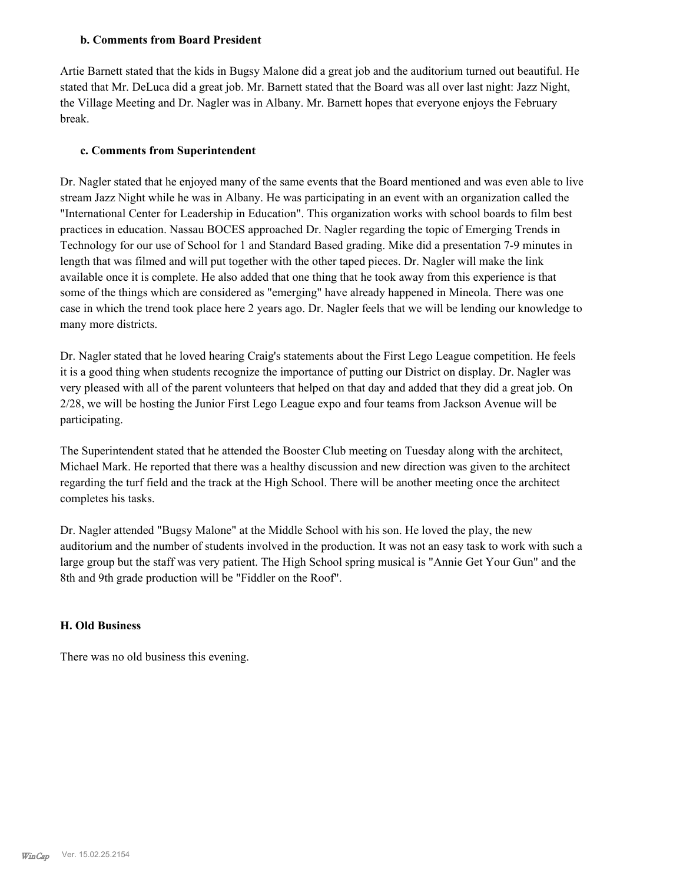#### **b. Comments from Board President**

Artie Barnett stated that the kids in Bugsy Malone did a great job and the auditorium turned out beautiful. He stated that Mr. DeLuca did a great job. Mr. Barnett stated that the Board was all over last night: Jazz Night, the Village Meeting and Dr. Nagler was in Albany. Mr. Barnett hopes that everyone enjoys the February break.

#### **c. Comments from Superintendent**

Dr. Nagler stated that he enjoyed many of the same events that the Board mentioned and was even able to live stream Jazz Night while he was in Albany. He was participating in an event with an organization called the "International Center for Leadership in Education". This organization works with school boards to film best practices in education. Nassau BOCES approached Dr. Nagler regarding the topic of Emerging Trends in Technology for our use of School for 1 and Standard Based grading. Mike did a presentation 7-9 minutes in length that was filmed and will put together with the other taped pieces. Dr. Nagler will make the link available once it is complete. He also added that one thing that he took away from this experience is that some of the things which are considered as "emerging" have already happened in Mineola. There was one case in which the trend took place here 2 years ago. Dr. Nagler feels that we will be lending our knowledge to many more districts.

Dr. Nagler stated that he loved hearing Craig's statements about the First Lego League competition. He feels it is a good thing when students recognize the importance of putting our District on display. Dr. Nagler was very pleased with all of the parent volunteers that helped on that day and added that they did a great job. On 2/28, we will be hosting the Junior First Lego League expo and four teams from Jackson Avenue will be participating.

The Superintendent stated that he attended the Booster Club meeting on Tuesday along with the architect, Michael Mark. He reported that there was a healthy discussion and new direction was given to the architect regarding the turf field and the track at the High School. There will be another meeting once the architect completes his tasks.

Dr. Nagler attended "Bugsy Malone" at the Middle School with his son. He loved the play, the new auditorium and the number of students involved in the production. It was not an easy task to work with such a large group but the staff was very patient. The High School spring musical is "Annie Get Your Gun" and the 8th and 9th grade production will be "Fiddler on the Roof".

#### **H. Old Business**

There was no old business this evening.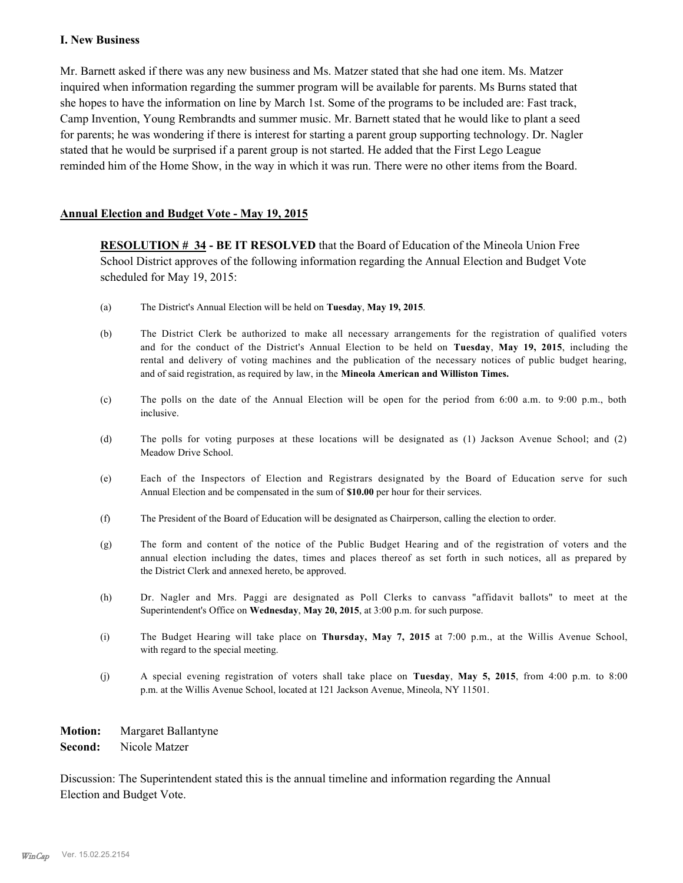#### **I. New Business**

Mr. Barnett asked if there was any new business and Ms. Matzer stated that she had one item. Ms. Matzer inquired when information regarding the summer program will be available for parents. Ms Burns stated that she hopes to have the information on line by March 1st. Some of the programs to be included are: Fast track, Camp Invention, Young Rembrandts and summer music. Mr. Barnett stated that he would like to plant a seed for parents; he was wondering if there is interest for starting a parent group supporting technology. Dr. Nagler stated that he would be surprised if a parent group is not started. He added that the First Lego League reminded him of the Home Show, in the way in which it was run. There were no other items from the Board.

#### **Annual Election and Budget Vote - May 19, 2015**

**RESOLUTION # 34 - BE IT RESOLVED** that the Board of Education of the Mineola Union Free School District approves of the following information regarding the Annual Election and Budget Vote scheduled for May 19, 2015:

- (a) The District's Annual Election will be held on **Tuesday**, **May 19, 2015**.
- (b) The District Clerk be authorized to make all necessary arrangements for the registration of qualified voters and for the conduct of the District's Annual Election to be held on **Tuesday**, **May 19, 2015**, including the rental and delivery of voting machines and the publication of the necessary notices of public budget hearing, and of said registration, as required by law, in the **Mineola American and Williston Times.**
- (c) The polls on the date of the Annual Election will be open for the period from 6:00 a.m. to 9:00 p.m., both inclusive.
- (d) The polls for voting purposes at these locations will be designated as (1) Jackson Avenue School; and (2) Meadow Drive School.
- (e) Each of the Inspectors of Election and Registrars designated by the Board of Education serve for such Annual Election and be compensated in the sum of **\$10.00** per hour for their services.
- (f) The President of the Board of Education will be designated as Chairperson, calling the election to order.
- (g) The form and content of the notice of the Public Budget Hearing and of the registration of voters and the annual election including the dates, times and places thereof as set forth in such notices, all as prepared by the District Clerk and annexed hereto, be approved.
- (h) Dr. Nagler and Mrs. Paggi are designated as Poll Clerks to canvass "affidavit ballots" to meet at the Superintendent's Office on **Wednesday**, **May 20, 2015**, at 3:00 p.m. for such purpose.
- (i) The Budget Hearing will take place on **Thursday, May 7, 2015** at 7:00 p.m., at the Willis Avenue School, with regard to the special meeting.
- (j) A special evening registration of voters shall take place on **Tuesday**, **May 5, 2015**, from 4:00 p.m. to 8:00 p.m. at the Willis Avenue School, located at 121 Jackson Avenue, Mineola, NY 11501.

**Motion:** Margaret Ballantyne

**Second:** Nicole Matzer

Discussion: The Superintendent stated this is the annual timeline and information regarding the Annual Election and Budget Vote.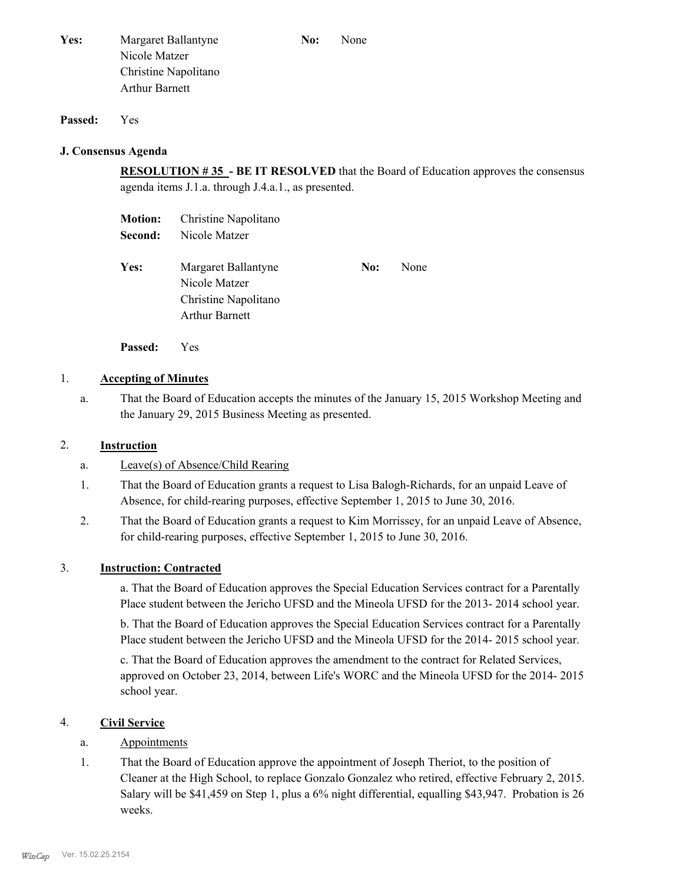| Yes: | Margaret Ballantyne   | No: | None |
|------|-----------------------|-----|------|
|      | Nicole Matzer         |     |      |
|      | Christine Napolitano  |     |      |
|      | <b>Arthur Barnett</b> |     |      |

#### **Passed:** Yes

#### **J. Consensus Agenda**

**RESOLUTION # 35 - BE IT RESOLVED** that the Board of Education approves the consensus agenda items J.1.a. through J.4.a.1., as presented.

| <b>Motion:</b> | Christine Napolitano  |     |      |
|----------------|-----------------------|-----|------|
| Second:        | Nicole Matzer         |     |      |
|                |                       |     |      |
| Yes:           | Margaret Ballantyne   | No: | None |
|                | Nicole Matzer         |     |      |
|                | Christine Napolitano  |     |      |
|                | <b>Arthur Barnett</b> |     |      |
|                |                       |     |      |

**Passed:** Yes

#### 1. **Accepting of Minutes**

That the Board of Education accepts the minutes of the January 15, 2015 Workshop Meeting and the January 29, 2015 Business Meeting as presented. a.

#### 2. **Instruction**

- a. Leave(s) of Absence/Child Rearing
- That the Board of Education grants a request to Lisa Balogh-Richards, for an unpaid Leave of Absence, for child-rearing purposes, effective September 1, 2015 to June 30, 2016. 1.
- That the Board of Education grants a request to Kim Morrissey, for an unpaid Leave of Absence, for child-rearing purposes, effective September 1, 2015 to June 30, 2016. 2.

#### 3. **Instruction: Contracted**

a. That the Board of Education approves the Special Education Services contract for a Parentally Place student between the Jericho UFSD and the Mineola UFSD for the 2013- 2014 school year.

b. That the Board of Education approves the Special Education Services contract for a Parentally Place student between the Jericho UFSD and the Mineola UFSD for the 2014- 2015 school year.

c. That the Board of Education approves the amendment to the contract for Related Services, approved on October 23, 2014, between Life's WORC and the Mineola UFSD for the 2014- 2015 school year.

#### 4. **Civil Service**

### a. Appointments

That the Board of Education approve the appointment of Joseph Theriot, to the position of Cleaner at the High School, to replace Gonzalo Gonzalez who retired, effective February 2, 2015. Salary will be \$41,459 on Step 1, plus a 6% night differential, equalling \$43,947. Probation is 26 weeks. 1.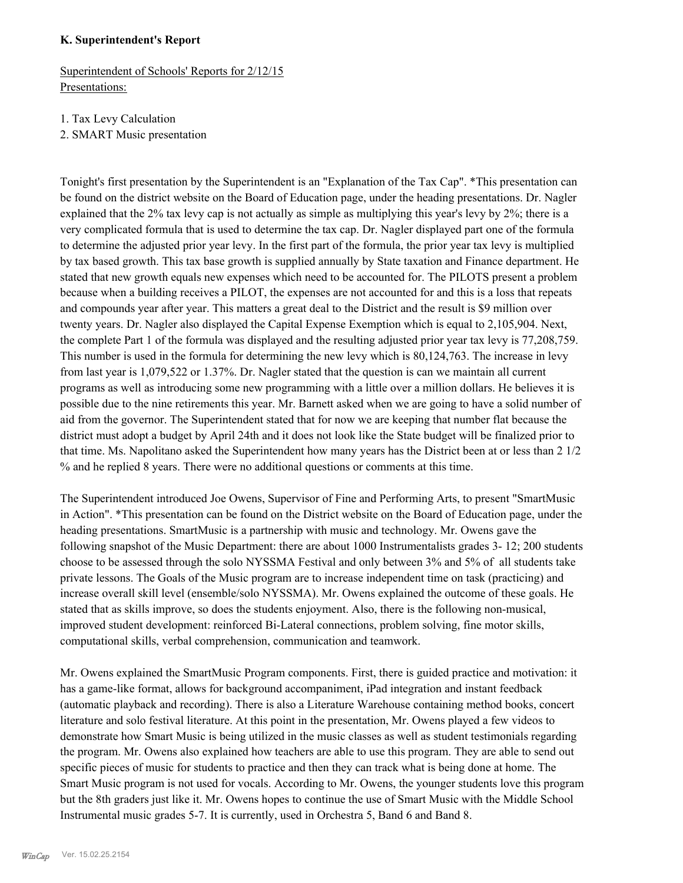#### **K. Superintendent's Report**

Superintendent of Schools' Reports for 2/12/15 Presentations:

1. Tax Levy Calculation

2. SMART Music presentation

Tonight's first presentation by the Superintendent is an "Explanation of the Tax Cap". \*This presentation can be found on the district website on the Board of Education page, under the heading presentations. Dr. Nagler explained that the 2% tax levy cap is not actually as simple as multiplying this year's levy by 2%; there is a very complicated formula that is used to determine the tax cap. Dr. Nagler displayed part one of the formula to determine the adjusted prior year levy. In the first part of the formula, the prior year tax levy is multiplied by tax based growth. This tax base growth is supplied annually by State taxation and Finance department. He stated that new growth equals new expenses which need to be accounted for. The PILOTS present a problem because when a building receives a PILOT, the expenses are not accounted for and this is a loss that repeats and compounds year after year. This matters a great deal to the District and the result is \$9 million over twenty years. Dr. Nagler also displayed the Capital Expense Exemption which is equal to 2,105,904. Next, the complete Part 1 of the formula was displayed and the resulting adjusted prior year tax levy is 77,208,759. This number is used in the formula for determining the new levy which is 80,124,763. The increase in levy from last year is 1,079,522 or 1.37%. Dr. Nagler stated that the question is can we maintain all current programs as well as introducing some new programming with a little over a million dollars. He believes it is possible due to the nine retirements this year. Mr. Barnett asked when we are going to have a solid number of aid from the governor. The Superintendent stated that for now we are keeping that number flat because the district must adopt a budget by April 24th and it does not look like the State budget will be finalized prior to that time. Ms. Napolitano asked the Superintendent how many years has the District been at or less than 2 1/2 % and he replied 8 years. There were no additional questions or comments at this time.

The Superintendent introduced Joe Owens, Supervisor of Fine and Performing Arts, to present "SmartMusic in Action". \*This presentation can be found on the District website on the Board of Education page, under the heading presentations. SmartMusic is a partnership with music and technology. Mr. Owens gave the following snapshot of the Music Department: there are about 1000 Instrumentalists grades 3- 12; 200 students choose to be assessed through the solo NYSSMA Festival and only between 3% and 5% of all students take private lessons. The Goals of the Music program are to increase independent time on task (practicing) and increase overall skill level (ensemble/solo NYSSMA). Mr. Owens explained the outcome of these goals. He stated that as skills improve, so does the students enjoyment. Also, there is the following non-musical, improved student development: reinforced Bi-Lateral connections, problem solving, fine motor skills, computational skills, verbal comprehension, communication and teamwork.

Mr. Owens explained the SmartMusic Program components. First, there is guided practice and motivation: it has a game-like format, allows for background accompaniment, iPad integration and instant feedback (automatic playback and recording). There is also a Literature Warehouse containing method books, concert literature and solo festival literature. At this point in the presentation, Mr. Owens played a few videos to demonstrate how Smart Music is being utilized in the music classes as well as student testimonials regarding the program. Mr. Owens also explained how teachers are able to use this program. They are able to send out specific pieces of music for students to practice and then they can track what is being done at home. The Smart Music program is not used for vocals. According to Mr. Owens, the younger students love this program but the 8th graders just like it. Mr. Owens hopes to continue the use of Smart Music with the Middle School Instrumental music grades 5-7. It is currently, used in Orchestra 5, Band 6 and Band 8.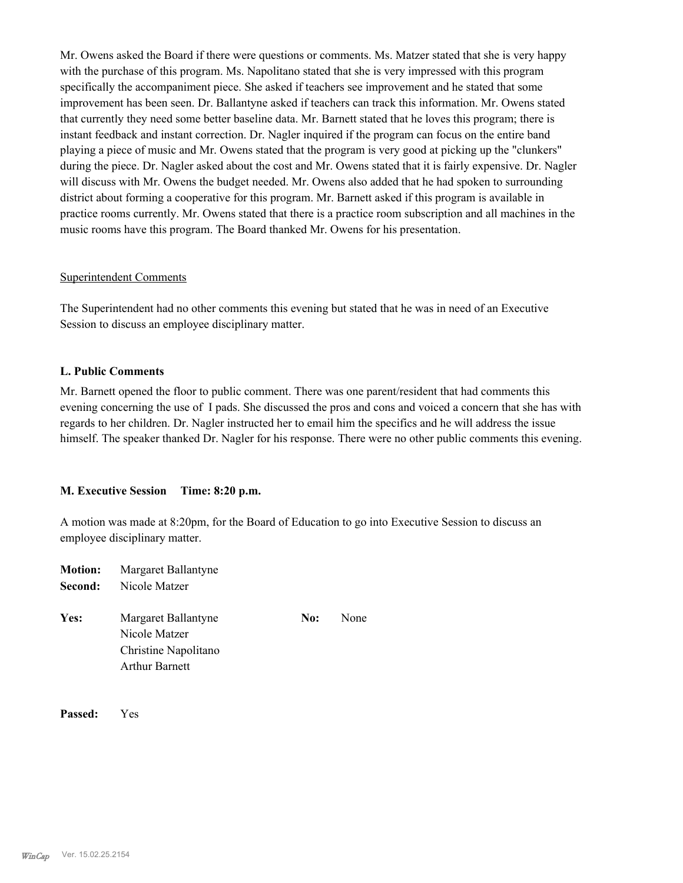Mr. Owens asked the Board if there were questions or comments. Ms. Matzer stated that she is very happy with the purchase of this program. Ms. Napolitano stated that she is very impressed with this program specifically the accompaniment piece. She asked if teachers see improvement and he stated that some improvement has been seen. Dr. Ballantyne asked if teachers can track this information. Mr. Owens stated that currently they need some better baseline data. Mr. Barnett stated that he loves this program; there is instant feedback and instant correction. Dr. Nagler inquired if the program can focus on the entire band playing a piece of music and Mr. Owens stated that the program is very good at picking up the "clunkers" during the piece. Dr. Nagler asked about the cost and Mr. Owens stated that it is fairly expensive. Dr. Nagler will discuss with Mr. Owens the budget needed. Mr. Owens also added that he had spoken to surrounding district about forming a cooperative for this program. Mr. Barnett asked if this program is available in practice rooms currently. Mr. Owens stated that there is a practice room subscription and all machines in the music rooms have this program. The Board thanked Mr. Owens for his presentation.

#### Superintendent Comments

The Superintendent had no other comments this evening but stated that he was in need of an Executive Session to discuss an employee disciplinary matter.

#### **L. Public Comments**

Mr. Barnett opened the floor to public comment. There was one parent/resident that had comments this evening concerning the use of I pads. She discussed the pros and cons and voiced a concern that she has with regards to her children. Dr. Nagler instructed her to email him the specifics and he will address the issue himself. The speaker thanked Dr. Nagler for his response. There were no other public comments this evening.

#### **M. Executive Session Time: 8:20 p.m.**

A motion was made at 8:20pm, for the Board of Education to go into Executive Session to discuss an employee disciplinary matter.

| <b>Motion:</b><br>Second: | Margaret Ballantyne<br>Nicole Matzer                                                  |     |      |
|---------------------------|---------------------------------------------------------------------------------------|-----|------|
| Yes:                      | Margaret Ballantyne<br>Nicole Matzer<br>Christine Napolitano<br><b>Arthur Barnett</b> | No: | None |

**Passed:** Yes